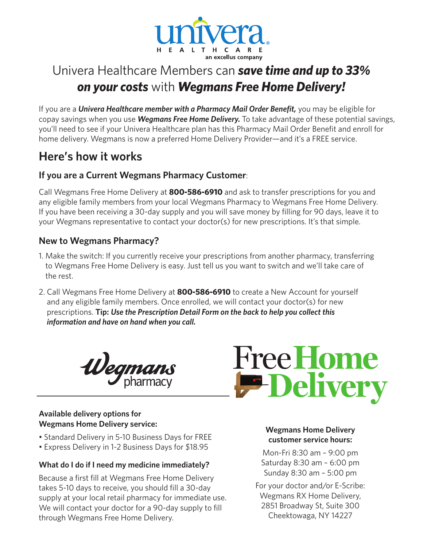

## Univera Healthcare Members can **save time and up to 33%**<br>
on your costs with **Wegmans Free Home Delivery!** *on your costs* with *Wegmans Free Home Delivery!*  $\overline{B}$

If you are a *Univera Healthcare member with a Pharmacy Mail Order Benefit,* you may be eligible for copay savings when you use *Wegmans Free Home Delivery.* To take advantage of these potential savings, you'll need to see if your Univera Healthcare plan has this Pharmacy Mail Order Benefit and enroll for home delivery. Wegmans is now a preferred Home Delivery Provider—and it's a FREE service. Healthcare plan has this Pharmacy Mail Order Benefit and enro<br>a preferred Home Delivery Provider—and it's a FREE service.

## **Here's how it works**

### **If you are a Current Wegmans Pharmacy Customer:**

Call Wegmans Free Home Delivery at **800-586-6910** and ask to transfer prescriptions for you and ean tregiment free frome Bentery at OUU DUV of the and don't clanser presemptions for you and any eligible family members from your local Wegmans Pharmacy to Wegmans Free Home Delivery. If you have been receiving a 30-day supply and you will save money by filling for 90 days, leave it to your Wegmans representative to contact your doctor(s) for new prescriptions. It's that simple.

#### **New to Wegmans Pharmacy?** • *Eat Well, Live Well* **for Lower Blood Pressure:** Explore how

- the same to some the setton: If you currently receive your prescriptions from another pharmacy, transferring than<br>1. Make the switch: If you currently receive your prescriptions from another pharmacy, transferring where the switch. If you currently receive your presemptions from unother pharmacy, transferring<br>to Wegmans Free Home Delivery is easy. Just tell us you want to switch and we'll take care of the rest.
- 2. Call Wegmans Free Home Delivery at **800-586-6910** to create a New Account for yourself Families, and any eligible family members. Once enrolled, we will contact your doctor(s) for new  $\frac{1}{2}$ prescriptions. **Tip: Use the Prescription Detail Form on the back to help you collect this** *information and have on hand when you call.* n you call.  $\blacksquare$



#### **Available delivery options for Wegmans Home Delivery service:**

- Standard Delivery in 5-10 Business Days for FREE
- Express Delivery in 1-2 Business Days for \$18.95

#### **What do I do if I need my medicine immediately?**

Because a first fill at Wegmans Free Home Delivery takes 5-10 days to receive, you should fill a 30-day supply at your local retail pharmacy for immediate use. We will contact your doctor for a 90-day supply to fill through Wegmans Free Home Delivery.



#### wegmans Home Delivery
wegmans to including more whole grains in the set of the set of the set of the set of the set of the set of the set of the set of the set of the set of the set of the set of the set of the set of the **customer service hours:**

**Beau Crazy:** Mon-Fri 8:30 am – 9:00 pm **immediately?** Saturday 8:30 am - 6:00 pm Sunday 8:30 am – 5:00 pm

For your doctor and/or E-Scribe: Wegmans RX Home Delivery, ey for immediate use.<br>90-day supply to fill **2851 Broadway St, Suite 300** ery. The Gheektowaga, NY 14227